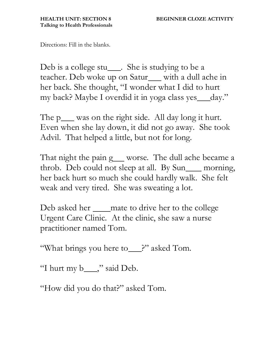Directions: Fill in the blanks.

Deb is a college stu\_\_\_\_. She is studying to be a teacher. Deb woke up on Satur\_\_ with a dull ache in her back. She thought, "I wonder what I did to hurt my back? Maybe I overdid it in yoga class yes\_day."

The  $p$  was on the right side. All day long it hurt. Even when she lay down, it did not go away. She took Advil. That helped a little, but not for long.

That night the pain  $g$  worse. The dull ache became a throb. Deb could not sleep at all. By Sun\_\_\_ morning, her back hurt so much she could hardly walk. She felt weak and very tired. She was sweating a lot.

Deb asked her \_\_\_\_\_ mate to drive her to the college Urgent Care Clinic. At the clinic, she saw a nurse practitioner named Tom.

"What brings you here to\_\_?" asked Tom.

"I hurt my b\_\_\_\_," said Deb.

"How did you do that?" asked Tom.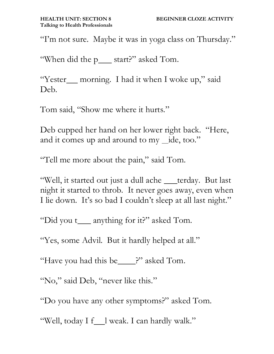"I'm not sure. Maybe it was in yoga class on Thursday."

"When did the p\_\_\_ start?" asked Tom.

"Yester\_\_ morning. I had it when I woke up," said Deb.

Tom said, "Show me where it hurts."

Deb cupped her hand on her lower right back. "Here, and it comes up and around to my \_ide, too."

"Tell me more about the pain," said Tom.

"Well, it started out just a dull ache \_\_terday. But last night it started to throb. It never goes away, even when I lie down. It's so bad I couldn't sleep at all last night."

"Did you t\_\_\_ anything for it?" asked Tom.

"Yes, some Advil. But it hardly helped at all."

"Have you had this be\_\_\_\_?" asked Tom.

"No," said Deb, "never like this."

"Do you have any other symptoms?" asked Tom.

"Well, today I f\_l weak. I can hardly walk."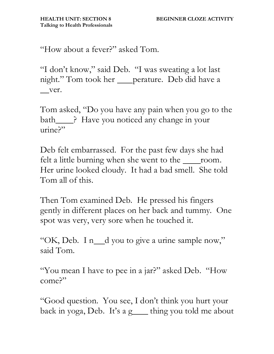"How about a fever?" asked Tom.

"I don't know," said Deb. "I was sweating a lot last night." Tom took her \_\_\_perature. Deb did have a ver.

Tom asked, "Do you have any pain when you go to the bath <sup>2</sup>. Have you noticed any change in your urine?"

Deb felt embarrassed. For the past few days she had felt a little burning when she went to the <u>room</u>. Her urine looked cloudy. It had a bad smell. She told Tom all of this.

Then Tom examined Deb. He pressed his fingers gently in different places on her back and tummy. One spot was very, very sore when he touched it.

"OK, Deb. I n\_d you to give a urine sample now," said Tom.

"You mean I have to pee in a jar?" asked Deb. "How come?"

"Good question. You see, I don't think you hurt your back in yoga, Deb. It's a  $g$  thing you told me about